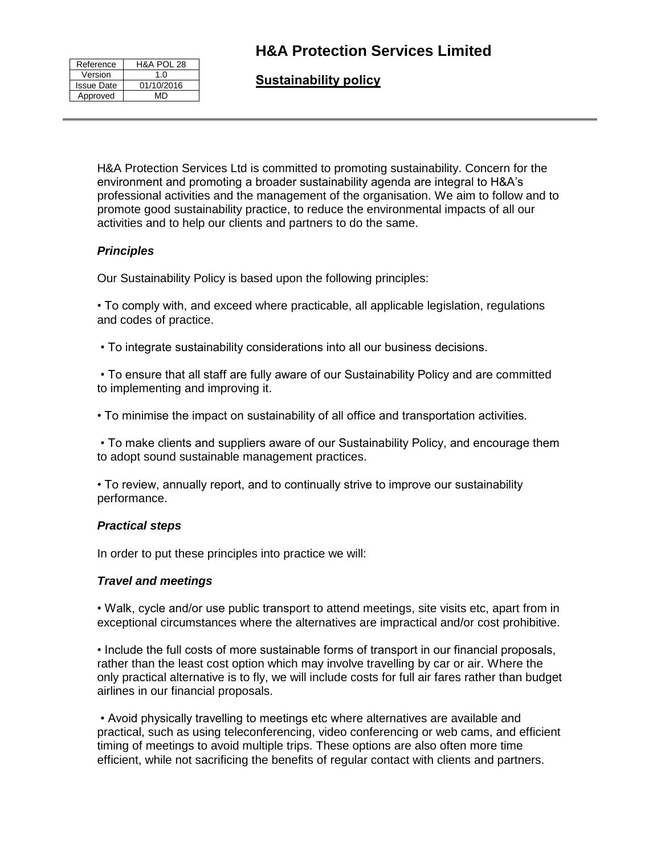## **H&A Protection Services Limited**

| Reference         | H&A POL 28 |
|-------------------|------------|
| Version           | 1 በ        |
| <b>Issue Date</b> | 01/10/2016 |
| Approved          | MD         |

**Sustainability policy** 

H&A Protection Services Ltd is committed to promoting sustainability. Concern for the environment and promoting a broader sustainability agenda are integral to H&A's professional activities and the management of the organisation. We aim to follow and to promote good sustainability practice, to reduce the environmental impacts of all our activities and to help our clients and partners to do the same.

### *Principles*

Our Sustainability Policy is based upon the following principles:

• To comply with, and exceed where practicable, all applicable legislation, regulations and codes of practice.

• To integrate sustainability considerations into all our business decisions.

• To ensure that all staff are fully aware of our Sustainability Policy and are committed to implementing and improving it.

• To minimise the impact on sustainability of all office and transportation activities.

• To make clients and suppliers aware of our Sustainability Policy, and encourage them to adopt sound sustainable management practices.

• To review, annually report, and to continually strive to improve our sustainability performance.

### *Practical steps*

In order to put these principles into practice we will:

### *Travel and meetings*

• Walk, cycle and/or use public transport to attend meetings, site visits etc, apart from in exceptional circumstances where the alternatives are impractical and/or cost prohibitive.

• Include the full costs of more sustainable forms of transport in our financial proposals, rather than the least cost option which may involve travelling by car or air. Where the only practical alternative is to fly, we will include costs for full air fares rather than budget airlines in our financial proposals.

• Avoid physically travelling to meetings etc where alternatives are available and practical, such as using teleconferencing, video conferencing or web cams, and efficient timing of meetings to avoid multiple trips. These options are also often more time efficient, while not sacrificing the benefits of regular contact with clients and partners.